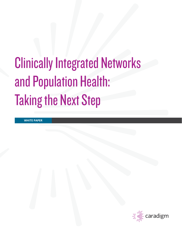# Clinically Integrated Networks and Population Health: Taking the Next Step

**WHITE PAPER**

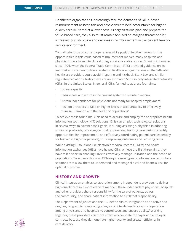Healthcare organizations increasingly face the demands of value-based reimbursement as hospitals and physicians are held accountable for higher quality care delivered at a lower cost. As organizations plan and prepare for value-based care, they also must remain focused on margins threatened by increased cost structure and declines in reimbursement in the current fee-forservice environment.

To maintain focus on current operations while positioning themselves for the opportunities in this value-based reimbursement market, many hospitals and physicians have turned to clinical integration as a viable option. Growing in number since 1996, when the Federal Trade Commission (FTC) provided guidance on its antitrust enforcement policies related to healthcare organizations so that affiliated healthcare providers could avoid triggering anti-kickback, Stark Law and similar regulatory violations, today there are an estimated 500 clinically integrated networks (CINs) in the United States. In general, CINs formed to address four aims:

- Increase quality
- Reduce cost and waste in the current system to maintain margin
- Sustain independence for physicians not ready for hospital employment
- Position providers to take on higher levels of accountability to effectively manage utilization and the health of populations<sup>1</sup>

To achieve these four aims, CINs need to acquire and employ the appropriate health information technology (HIT) solutions. CINs can employ technological solutions in several ways to advance their goals, including assisting a physician in adhering to clinical protocols, reporting on quality measures, tracking care costs to identify opportunities for improvement, and effectively coordinating patient care (especially for high-cost, high-risk patients), thus improving outcomes and reducing costs.

While existing IT solutions like electronic medical records (EMRs) and health information exchanges (HIEs) have helped CINs achieve the first three aims, they have fallen short in enabling CINs to effectively manage utilization and the health of populations. To achieve this goal, CINs require new types of information technology solutions that allow them to understand and manage clinical and financial risk for optimal outcomes.

## **History and growth**

Clinical integration enables collaboration among independent providers to deliver high-quality care in a more efficient manner. These independent physicians, hospitals and other providers share responsibility for the care of patients, across the community, and share patient information to fulfill that responsibility.

The Department of Justice and the FTC define clinical integration as an active and ongoing program to create a high degree of interdependence and cooperation among physicians and hospitals to control costs and ensure quality.2 Working together, these providers can more effectively compete for payer and employer contracts because they demonstrate higher quality and greater efficiency in care delivery.

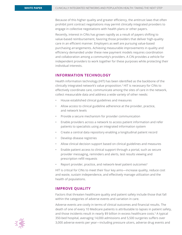Because of this higher quality and greater efficiency, the antitrust laws that often prohibit joint contract negotiations may permit clinically integrated providers to engage in collective negotiations with health plans or other payers.

Recently, interest in CINs has grown rapidly as a result of payers shifting to value-based reimbursement, favoring those providers that deliver high-quality care in an efficient manner. Employers as well are pursuing value-based purchasing arrangements. Achieving measurable improvements in quality and efficiency demanded under these new payment models requires coordination and collaboration among a community's providers. A CIN provides a vehicle for independent providers to work together for these purposes while protecting their individual interests.

## **Information technology**

Health information technology (HIT) has been identified as the backbone of the clinically integrated network's value proposition.3 HIT is necessary for CINs to effectively coordinate care, communicate among the sites of care in the network, collect measurable data and address a wide variety of other needs:

- House established clinical guidelines and measures
- Allow access to clinical guideline adherence at the provider, practice, and network levels
- Provide a secure mechanism for provider communication
- Enable providers across a network to access patient information and refer patients to specialists using an integrated information system
- Create a central data repository enabling a longitudinal patient record
- Develop disease registries
- Allow clinical decision support based on clinical guidelines and measures
- Enable patient access to clinical support through a portal, such as secure provider messaging, reminders and alerts, test results viewing and prescription refill requests
- Report provider, practice, and network-level patient outcomes<sup>4</sup>

HIT is critical for CINs to meet their four key aims—increase quality, reduce cost and waste, sustain independence, and effectively manage utilization and the health of populations.

### **Improve quality**

Factors that threaten healthcare quality and patient safety include those that fall within the categories of adverse events and variation in care.

Adverse events are costly in terms of clinical outcomes and financial results. The death of one of every 10 Medicare patients is attributable to lapses in patient safety, and those incidents result in nearly \$9 billion in excess healthcare costs.<sup>5</sup> A typical 350-bed hospital, averaging 14,000 admissions and 5,500 surgeries suffers over 3,000 adverse events per year—including pressure ulcers, adverse drug events and

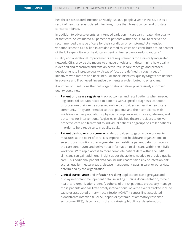healthcare-associated infections.<sup>6</sup> Nearly 100,000 people a year in the US die as a result of healthcare-associated infections, more than breast cancer and prostate cancer combined.

In addition to adverse events, unintended variation in care can threaten the quality of that care. An estimated 45 percent of patients within the US fail to receive the recommended package of care for their condition or symptoms.7 Unintended variation leads to \$12 billion in avoidable medical costs and contributes to 30 percent of the US expenditure on healthcare spent on ineffective or redundant care.<sup>8</sup>

Quality and operational improvements are requirements for a clinically integrated network. CINs provide the means to engage physicians in determining how quality is defined and measured and take an active role in care redesign and protocol development to increase quality. Areas of focus are defined through a set of initiatives with metrics and baselines. For those initiatives, quality targets are defined in advance and if achieved, incentive payments are distributed to physicians.

A number of IT solutions that help organizations deliver progressively improved quality outcomes.

- Patient or disease registries track outcomes and recall patients when needed. Registries collect data related to patients with a specific diagnosis, condition or procedure that can be accessed online by providers across the healthcare community. They are intended to track patients and their compliance with guidelines across populations; physician compliance with those guidelines; and outcomes for interventions. Registries enable healthcare providers to deliver proactive care and treatment to individual patients or groups of similar patients, in order to help reach certain quality goals.
- **Patient dashboards** or **scorecards** alert providers to gaps in care or quality measures at the point of care. It is important for healthcare organizations to select robust solutions that aggregate near real-time patient data from across the care continuum, and deliver that information to clinicians within their EMR workflow. With rapid access to more complete patient data within the EMR, clinicians can gain additional insight about the actions needed to provide quality care. This additional patient data can include readmission risk or infection-risk scores, quality-measure gaps, disease-management gaps in care, or other data determined by the organization.
- **Clinical surveillance** and **infection tracking** applications can aggregate and display near real-time inpatient data, including nursing documentation, to help healthcare organizations identify cohorts of at-risk patients, proactively manage those patients and facilitate timely interventions. Adverse events tracked include catheter-associated urinary tract infection (CAUTI), central line-associated bloodstream infection (CLABSI), sepsis or systemic inflammatory response syndrome (SIRS), glycemic control and catastrophic clinical deterioration.

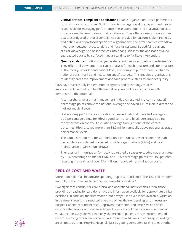- **Clinical protocol compliance applications** enable organizations to set parameters for cost, risk and outcomes. Built for quality managers and the department heads responsible for managing performance, these operational and analytical toolsets provide a mechanism to drive quality initiatives. They offer a variety of out-of-thebox preconfigured protocol compliance sets, provide for customizable thresholds and definitions of protocols specific to organizations, and offer seamless workflow integration between protocol data and hospital systems. By codifying current clinical knowledge and best practices into clear guidelines, the applications allow aggregated data to be surfaced in near-real time to facilitate intervention.
- **Quality analytics** solutions can generate report cards on physician performance. They offer drill-down and root cause analysis for each measure and sub-measure, at the facility, provider and patient level, and compare performance relative to national benchmarks and institution specific targets. This enables organizations to identify areas for improvement and take proactive steps to enhance quality.

CINs have successfully implemented programs and technology to drive improvements in quality in healthcare delivery. Annual results from one CIN demonstrate the potential.9

- A comprehensive asthma management initiative resulted in a control rate 23 percentage points above the national average and saved \$11 million in direct and indirect medical costs.
- Diabetes key performance indicators exceeded national predicted averages by 9 percentage points for HbA1c good control and by 23 percentage points for hypertension control. Calculating savings from just one of the control outcomes, HbA1c, saved more than \$4.9 million annually above national average performance levels.
- The administration rate for Combination 3 immunizations exceeded the 90th percentile for combined preferred provider organizations (PPOs) and health maintenance organizations (HMOs).
- The rates of immunization for rotavirus-related diseases exceeded national rates by 10.6 percentage points for HMO and 19.0 percentage points for PPO patients, resulting in a savings of over \$4.4 million in avoided hospitalization costs.

# **Reduce cost and waste**

More than half of all healthcare spending—up to \$1.2 trillion of the \$2.2 trillion spent annually in the US-has been deemed wasteful spending.<sup>10</sup>

Two significant contributors are clinical and operational inefficiencies. Often, those providing or paying for care don't have the information available for appropriate clinical decisions. In addition, that information isn't always used even when available. Variation in treatment results in a reported one-third of healthcare spending on unnecessary hospitalizations, redundant tests, unproven treatments, and excessive end of life care. Greater adoption of evidenced-based practices could help address unintended variation; one study showed that only 55 percent of patients receive recommended care.11 Removing redundancies could save more than \$40 million annually, according to an estimate by Johns Hopkins Hospital, "just by getting computers talking to each other."

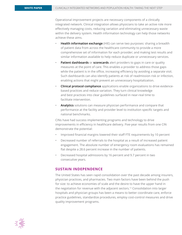Operational improvement projects are necessary components of a clinically integrated network. Clinical integration allows physicians to take an active role more effectively managing costs, reducing variation and eliminating unnecessary waste within the delivery system. Health information technology can help those networks achieve these aims.

- **Health information exchange** (HIE) can serve two purposes: sharing a breadth of patient data from across the healthcare community to provide a more comprehensive set of information for each provider; and making test results and similar information available to help reduce duplicate or unnecessary services.
- **Patient dashboards** or **scorecards** alert providers to gaps in care or quality measures at the point of care. This enables a provider to address those gaps while the patient is in the office, increasing efficiency by avoiding a separate visit. Such dashboards can also identify patients at risk of readmission risk or infection, enabling actions that might prevent an unnecessary hospitalization.
- **Clinical protocol compliance** applications enable organizations to drive evidencebased practices and reduce variation. They turn clinical knowledge and best practices into clear guidelines surfaced in near-real time to facilitate intervention.
- **Analytics** solutions can measure physician performance and compare that performance at the facility and provider level to institution specific targets and national benchmarks.

CINs have had success implementing programs and technology to drive improvements in efficiency in healthcare delivery. Five-year results from one CIN demonstrate the potential:

- Improved financial margins lowered their staff FTE requirements by 10 percent
- Decreased number of referrals to the hospital as a result of increased patient engagement. The absolute number of emergency room evaluations has remained flat despite a 28.6 percent increase in the number of patients.
- Decreased hospital admissions by 16 percent and 9.7 percent in two consecutive years.

## **Sustain independence**

The United States has seen rapid consolidation over the past decade among insurers, physician practices, and pharmacies. Two main factors have been behind the push for size: to achieve economies of scale and the desire to have the upper hand in the negotiation for revenue with the adjacent sectors.12 Consolidation into larger hospitals and physician groups has been a means to better coordinate care, enforce practice guidelines, standardize procedures, employ cost-control measures and drive quality improvement programs.

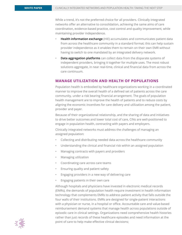While a trend, it's not the preferred choice for all providers. Clinically integrated networks offer an alternative to consolidation, achieving the same aims of care coordination, evidence-based practice, cost control and quality improvement, while maintaining provider independence.

- **Health information exchange** (HIE) accumulates and communicates patient data from across the healthcare community in a standard format; this can help sustain provider independence as it enables them to remain on their own EMR without having to switch to one mandated by an integrated delivery network.
- **Data aggregation platforms** can collect data from the disparate systems of independent providers, bringing it together for multiple uses. The most robust solutions aggregate, in near real-time, clinical and financial data from across the care continuum.

## **Manage utilization and health of populations**

Population health is embodied by healthcare organizations working in a coordinated manner to improve the overall health of a defined set of patients across the care community, under a risk bearing financial arrangement. The goals of population health management are to improve the health of patients and to reduce costs by aligning the economic incentives for care delivery and utilization among the patient, provider and payer.

Because of their organizational relationship, and the sharing of data and initiatives to drive better outcomes and lower total cost of care, CINs are well-positioned to engage in population health, contracting with payers and employers.

Clinically integrated networks must address the challenges of managing an assigned population:

- Collecting and distributing needed data across the healthcare community
- Understanding the clinical and financial risk within an assigned population
- Managing contracts with payers and providers
- Managing utilization
- Coordinating care across care teams
- Ensuring quality and patient safety
- Engaging providers in a new way of delivering care
- Engaging patients in their own care

Although hospitals and physicians have invested in electronic medical records (EMRs), the demands of population health require investment in health information technology that complements EMRs to address patient activity that falls outside the four walls of their institutions. EMRs are designed for single-patient interactions with a physician or nurse, in a hospital or office. Accountable care and value-based reimbursement demand systems that manage health across populations outside of episodic care in clinical settings. Organizations need comprehensive health histories rather than just records of these healthcare episodes and need information at the point of care to help make effective clinical decisions;

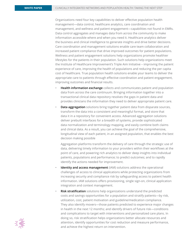Organizations need four key capabilities to deliver effective population health management—data control, healthcare analytics, care coordination and management, and wellness and patient engagement—capabilities not found in EMRs. Data control aggregates and manages data from across the community to make information accessible where and when you need it. Healthcare analytics deliver the business and clinical intelligence to generate insights and drive better decisions. Care coordination and management solutions enable care team collaboration and increased patient compliance that drive improved outcomes for patient populations. Wellness and patient engagement solutions help organizations promote healthier lifestyles for the patients in their population. Such solutions help organizations meet the Institute of Healthcare Improvement's Triple Aim Initiative – improving the patient experience of care, improving the health of populations and reducing the per capita cost of healthcare. True population health solutions enable your teams to deliver the appropriate care to patients through effective coordination and patient engagement, improving outcomes and financial results.

- **Health information exchange** collects and communicates patient and population data from across the care continuum. Bringing information together into a transactional clinical data repository resolves the gaps in patient data and provides clinicians the information they need to deliver appropriate patient care.
- **Data aggregation** solutions bring together patient data from disparate sources, transform the data into a consistent and meaningful format, and store that data it in a repository for convenient access. Advanced aggregation solutions deliver prebuilt interfaces for a breadth of systems, provide sophisticated data normalization and terminology mapping, and easily combine both claims and clinical data. As a result, you can achieve the goal of the comprehensive, longitudinal view of each patient, in an assigned population, that enables the best decision making possible

Aggregation platforms transform the delivery of care through the strategic use of data, delivering timely information to your providers within their workflows at the point of care, and powering rich analytics to deliver deep insights into individual patients, populations and performance; to predict outcomes; and to rapidly identify the actions needed for improvement.

- **[Identity and access management](http://www.caradigm.com/en-us/solutions-for-population-health/identity-and-access-management/)** (IAM) solutions address the operational challenges of access to clinical applications while protecting organizations from increasing security and compliance risk by safeguarding access to patient health information. IAM solutions offers provisioning, single sign-on, clinical application integration and context management.
- **Risk stratification** solutions help organizations understand the predicted costs and savings opportunities for a population and stratify patients—by risk, utilization, cost, patient motivation and guideline/medication compliance. They also identify movers—those patients predicted to experience major changes in health in the next 12 months; and identify drivers of future risk—conditions and complications to target with interventions and personalized care plans. In doing so, risk stratification helps organizations better allocate resources and attention, identify opportunities for cost reduction and measure performance, and achieve the highest return on intervention.